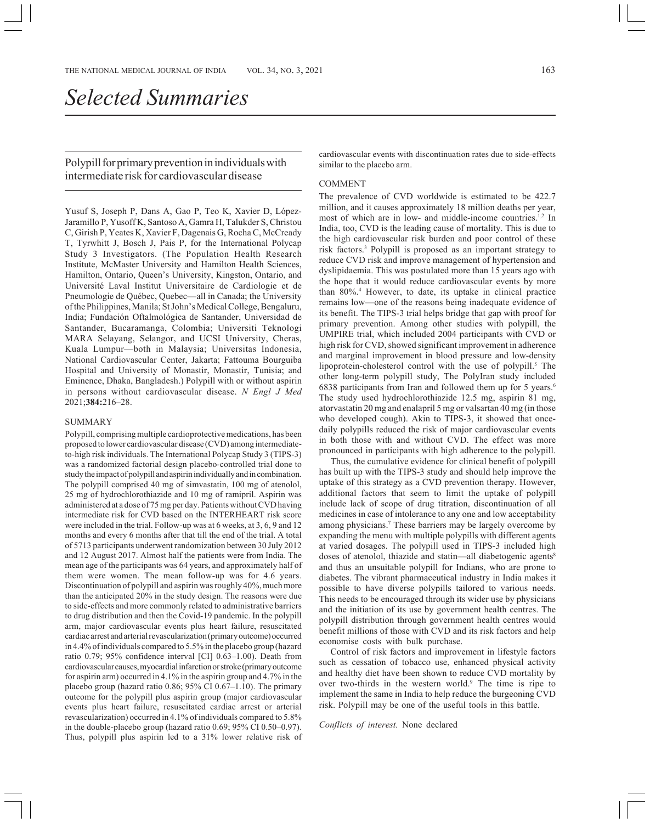Polypill for primary prevention in individuals with intermediate risk for cardiovascular disease

Yusuf S, Joseph P, Dans A, Gao P, Teo K, Xavier D, López-Jaramillo P, Yusoff K, Santoso A, Gamra H, Talukder S, Christou C, Girish P, Yeates K, Xavier F, Dagenais G, Rocha C, McCready T, Tyrwhitt J, Bosch J, Pais P, for the International Polycap Study 3 Investigators. (The Population Health Research Institute, McMaster University and Hamilton Health Sciences, Hamilton, Ontario, Queen's University, Kingston, Ontario, and Université Laval Institut Universitaire de Cardiologie et de Pneumologie de Québec, Quebec—all in Canada; the University of the Philippines, Manila; St John's Medical College, Bengaluru, India; Fundación Oftalmológica de Santander, Universidad de Santander, Bucaramanga, Colombia; Universiti Teknologi MARA Selayang, Selangor, and UCSI University, Cheras, Kuala Lumpur—both in Malaysia; Universitas Indonesia, National Cardiovascular Center, Jakarta; Fattouma Bourguiba Hospital and University of Monastir, Monastir, Tunisia; and Eminence, Dhaka, Bangladesh.) Polypill with or without aspirin in persons without cardiovascular disease. *N Engl J Med* 2021;**384:**216–28.

## SUMMARY

Polypill, comprising multiple cardioprotective medications, has been proposed to lower cardiovascular disease (CVD) among intermediateto-high risk individuals. The International Polycap Study 3 (TIPS-3) was a randomized factorial design placebo-controlled trial done to study the impact of polypill and aspirin individually and in combination. The polypill comprised 40 mg of simvastatin, 100 mg of atenolol, 25 mg of hydrochlorothiazide and 10 mg of ramipril. Aspirin was administered at a dose of 75 mg per day. Patients without CVD having intermediate risk for CVD based on the INTERHEART risk score were included in the trial. Follow-up was at 6 weeks, at 3, 6, 9 and 12 months and every 6 months after that till the end of the trial. A total of 5713 participants underwent randomization between 30 July 2012 and 12 August 2017. Almost half the patients were from India. The mean age of the participants was 64 years, and approximately half of them were women. The mean follow-up was for 4.6 years. Discontinuation of polypill and aspirin was roughly 40%, much more than the anticipated 20% in the study design. The reasons were due to side-effects and more commonly related to administrative barriers to drug distribution and then the Covid-19 pandemic. In the polypill arm, major cardiovascular events plus heart failure, resuscitated cardiac arrest and arterial revascularization (primary outcome) occurred in 4.4% of individuals compared to 5.5% in the placebo group (hazard ratio 0.79; 95% confidence interval [CI] 0.63–1.00). Death from cardiovascular causes, myocardial infarction or stroke (primary outcome for aspirin arm) occurred in 4.1% in the aspirin group and 4.7% in the placebo group (hazard ratio 0.86; 95% CI 0.67–1.10). The primary outcome for the polypill plus aspirin group (major cardiovascular events plus heart failure, resuscitated cardiac arrest or arterial revascularization) occurred in 4.1% of individuals compared to 5.8% in the double-placebo group (hazard ratio 0.69; 95% CI 0.50–0.97). Thus, polypill plus aspirin led to a 31% lower relative risk of cardiovascular events with discontinuation rates due to side-effects similar to the placebo arm.

## COMMENT

The prevalence of CVD worldwide is estimated to be 422.7 million, and it causes approximately 18 million deaths per year, most of which are in low- and middle-income countries.1,2 In India, too, CVD is the leading cause of mortality. This is due to the high cardiovascular risk burden and poor control of these risk factors.3 Polypill is proposed as an important strategy to reduce CVD risk and improve management of hypertension and dyslipidaemia. This was postulated more than 15 years ago with the hope that it would reduce cardiovascular events by more than 80%.4 However, to date, its uptake in clinical practice remains low—one of the reasons being inadequate evidence of its benefit. The TIPS-3 trial helps bridge that gap with proof for primary prevention. Among other studies with polypill, the UMPIRE trial, which included 2004 participants with CVD or high risk for CVD, showed significant improvement in adherence and marginal improvement in blood pressure and low-density lipoprotein-cholesterol control with the use of polypill.<sup>5</sup> The other long-term polypill study, The PolyIran study included 6838 participants from Iran and followed them up for 5 years.6 The study used hydrochlorothiazide 12.5 mg, aspirin 81 mg, atorvastatin 20 mg and enalapril 5 mg or valsartan 40 mg (in those who developed cough). Akin to TIPS-3, it showed that oncedaily polypills reduced the risk of major cardiovascular events in both those with and without CVD. The effect was more pronounced in participants with high adherence to the polypill.

Thus, the cumulative evidence for clinical benefit of polypill has built up with the TIPS-3 study and should help improve the uptake of this strategy as a CVD prevention therapy. However, additional factors that seem to limit the uptake of polypill include lack of scope of drug titration, discontinuation of all medicines in case of intolerance to any one and low acceptability among physicians.<sup>7</sup> These barriers may be largely overcome by expanding the menu with multiple polypills with different agents at varied dosages. The polypill used in TIPS-3 included high doses of atenolol, thiazide and statin—all diabetogenic agents<sup>8</sup> and thus an unsuitable polypill for Indians, who are prone to diabetes. The vibrant pharmaceutical industry in India makes it possible to have diverse polypills tailored to various needs. This needs to be encouraged through its wider use by physicians and the initiation of its use by government health centres. The polypill distribution through government health centres would benefit millions of those with CVD and its risk factors and help economise costs with bulk purchase.

Control of risk factors and improvement in lifestyle factors such as cessation of tobacco use, enhanced physical activity and healthy diet have been shown to reduce CVD mortality by over two-thirds in the western world.<sup>9</sup> The time is ripe to implement the same in India to help reduce the burgeoning CVD risk. Polypill may be one of the useful tools in this battle.

*Conflicts of interest.* None declared